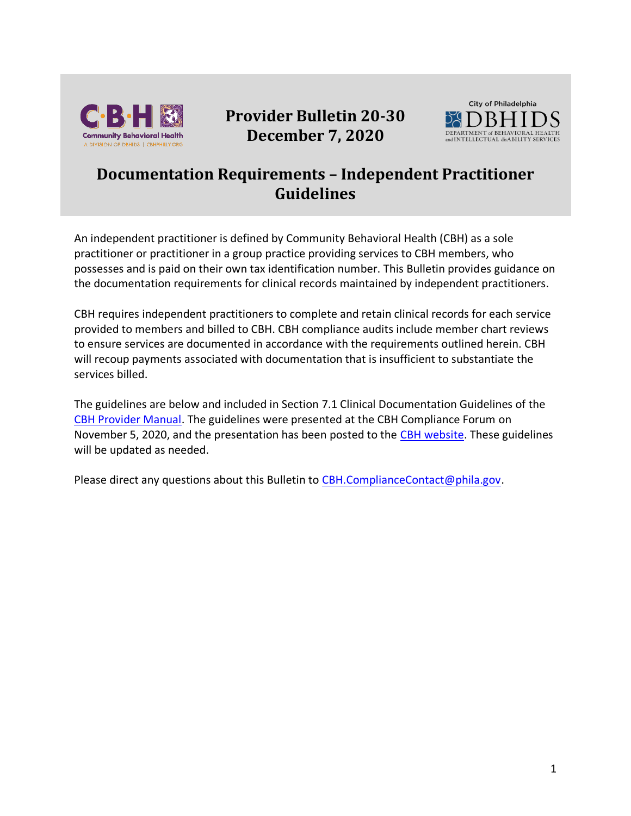

# **Provider Bulletin 20-30 December 7, 2020**



## **Documentation Requirements – Independent Practitioner Guidelines**

An independent practitioner is defined by Community Behavioral Health (CBH) as a sole practitioner or practitioner in a group practice providing services to CBH members, who possesses and is paid on their own tax identification number. This Bulletin provides guidance on the documentation requirements for clinical records maintained by independent practitioners.

CBH requires independent practitioners to complete and retain clinical records for each service provided to members and billed to CBH. CBH compliance audits include member chart reviews to ensure services are documented in accordance with the requirements outlined herein. CBH will recoup payments associated with documentation that is insufficient to substantiate the services billed.

The guidelines are below and included in Section 7.1 Clinical Documentation Guidelines of the [CBH Provider Manual.](https://cbhphilly.org/cbh-providers/oversight-and-monitoring/cbh-provider-manual/) The guidelines were presented at the CBH Compliance Forum on November 5, 2020, and the presentation has been posted to the [CBH website.](https://cbhphilly.org/cbh-providers/training/) These guidelines will be updated as needed.

Please direct any questions about this Bulletin to [CBH.ComplianceContact@phila.gov.](mailto:CBH.ComplianceContact@phila.gov)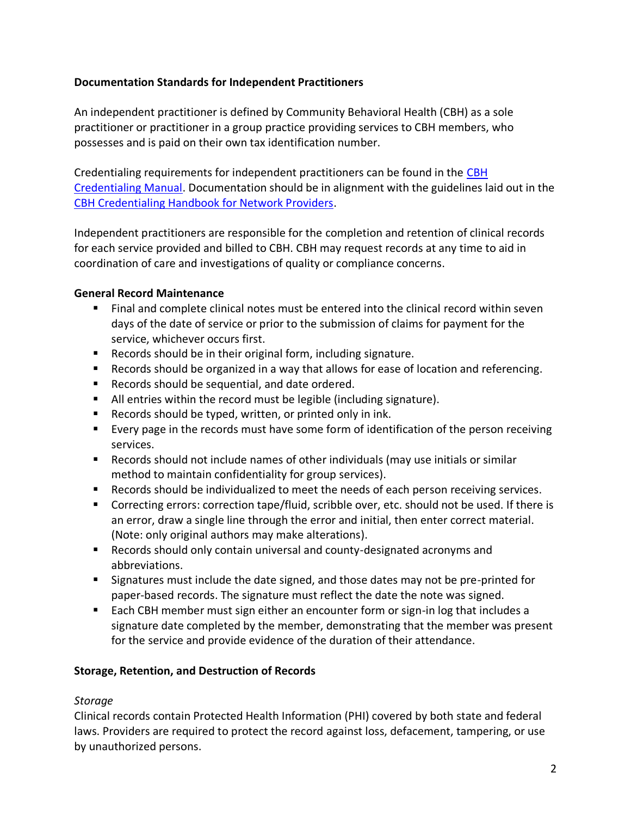### **Documentation Standards for Independent Practitioners**

An independent practitioner is defined by Community Behavioral Health (CBH) as a sole practitioner or practitioner in a group practice providing services to CBH members, who possesses and is paid on their own tax identification number.

Credentialing requirements for independent practitioners can be found in the [CBH](https://cbhphilly.org/cbh-providers/oversight-and-monitoring/cbh-provider-manual/)  [Credentialing Manual.](https://cbhphilly.org/cbh-providers/oversight-and-monitoring/cbh-provider-manual/) Documentation should be in alignment with the guidelines laid out in the [CBH Credentialing Handbook for Network Providers.](https://dbhids.org/wp-content/uploads/2018/11/Credentialing-Handbook-FINAL-11-5-18.pdf)

Independent practitioners are responsible for the completion and retention of clinical records for each service provided and billed to CBH. CBH may request records at any time to aid in coordination of care and investigations of quality or compliance concerns.

### **General Record Maintenance**

- Final and complete clinical notes must be entered into the clinical record within seven days of the date of service or prior to the submission of claims for payment for the service, whichever occurs first.
- Records should be in their original form, including signature.
- Records should be organized in a way that allows for ease of location and referencing.
- Records should be sequential, and date ordered.
- All entries within the record must be legible (including signature).
- Records should be typed, written, or printed only in ink.
- Every page in the records must have some form of identification of the person receiving services.
- Records should not include names of other individuals (may use initials or similar method to maintain confidentiality for group services).
- Records should be individualized to meet the needs of each person receiving services.
- Correcting errors: correction tape/fluid, scribble over, etc. should not be used. If there is an error, draw a single line through the error and initial, then enter correct material. (Note: only original authors may make alterations).
- Records should only contain universal and county-designated acronyms and abbreviations.
- Signatures must include the date signed, and those dates may not be pre-printed for paper-based records. The signature must reflect the date the note was signed.
- Each CBH member must sign either an encounter form or sign-in log that includes a signature date completed by the member, demonstrating that the member was present for the service and provide evidence of the duration of their attendance.

### **Storage, Retention, and Destruction of Records**

### *Storage*

Clinical records contain Protected Health Information (PHI) covered by both state and federal laws. Providers are required to protect the record against loss, defacement, tampering, or use by unauthorized persons.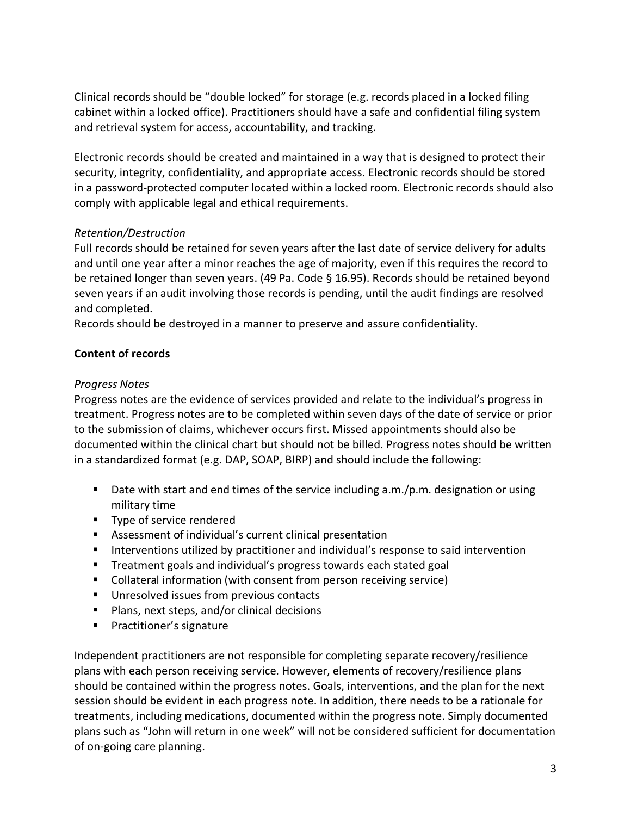Clinical records should be "double locked" for storage (e.g. records placed in a locked filing cabinet within a locked office). Practitioners should have a safe and confidential filing system and retrieval system for access, accountability, and tracking.

Electronic records should be created and maintained in a way that is designed to protect their security, integrity, confidentiality, and appropriate access. Electronic records should be stored in a password-protected computer located within a locked room. Electronic records should also comply with applicable legal and ethical requirements.

### *Retention/Destruction*

Full records should be retained for seven years after the last date of service delivery for adults and until one year after a minor reaches the age of majority, even if this requires the record to be retained longer than seven years. (49 Pa. Code § 16.95). Records should be retained beyond seven years if an audit involving those records is pending, until the audit findings are resolved and completed.

Records should be destroyed in a manner to preserve and assure confidentiality.

#### **Content of records**

#### *Progress Notes*

Progress notes are the evidence of services provided and relate to the individual's progress in treatment. Progress notes are to be completed within seven days of the date of service or prior to the submission of claims, whichever occurs first. Missed appointments should also be documented within the clinical chart but should not be billed. Progress notes should be written in a standardized format (e.g. DAP, SOAP, BIRP) and should include the following:

- Date with start and end times of the service including a.m./p.m. designation or using military time
- Type of service rendered
- Assessment of individual's current clinical presentation
- **E** Interventions utilized by practitioner and individual's response to said intervention
- Treatment goals and individual's progress towards each stated goal
- Collateral information (with consent from person receiving service)
- Unresolved issues from previous contacts
- Plans, next steps, and/or clinical decisions
- Practitioner's signature

Independent practitioners are not responsible for completing separate recovery/resilience plans with each person receiving service. However, elements of recovery/resilience plans should be contained within the progress notes. Goals, interventions, and the plan for the next session should be evident in each progress note. In addition, there needs to be a rationale for treatments, including medications, documented within the progress note. Simply documented plans such as "John will return in one week" will not be considered sufficient for documentation of on-going care planning.